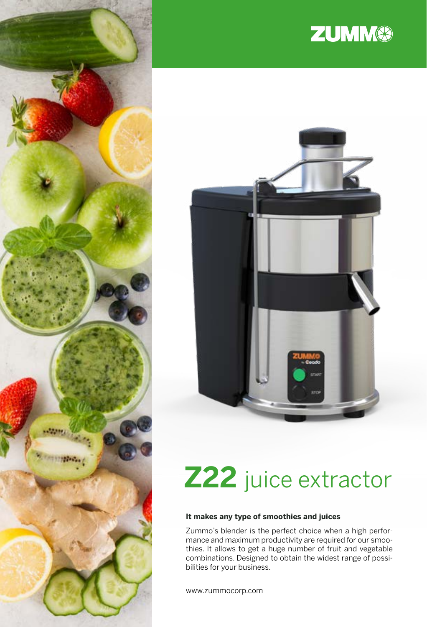

# **ZUMM®**



# **Z22** juice extractor

#### **It makes any type of smoothies and juices**

Zummo's blender is the perfect choice when a high performance and maximum productivity are required for our smoothies. It allows to get a huge number of fruit and vegetable combinations. Designed to obtain the widest range of possibilities for your business.

www.zummocorp.com